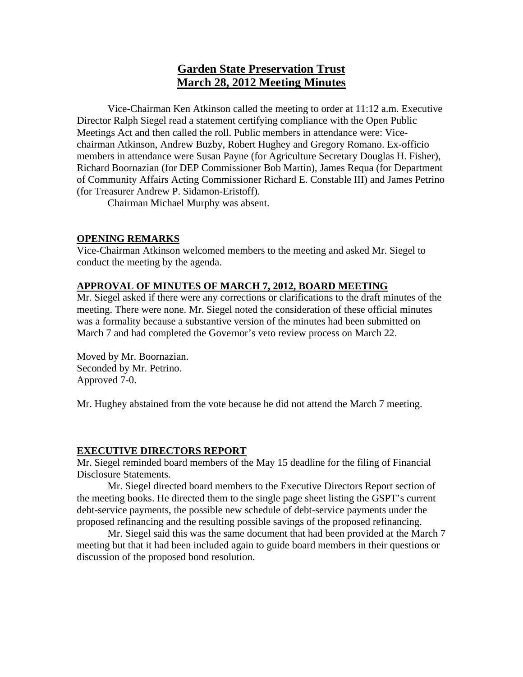# **Garden State Preservation Trust March 28, 2012 Meeting Minutes**

Vice-Chairman Ken Atkinson called the meeting to order at 11:12 a.m. Executive Director Ralph Siegel read a statement certifying compliance with the Open Public Meetings Act and then called the roll. Public members in attendance were: Vicechairman Atkinson, Andrew Buzby, Robert Hughey and Gregory Romano. Ex-officio members in attendance were Susan Payne (for Agriculture Secretary Douglas H. Fisher), Richard Boornazian (for DEP Commissioner Bob Martin), James Requa (for Department of Community Affairs Acting Commissioner Richard E. Constable III) and James Petrino (for Treasurer Andrew P. Sidamon-Eristoff).

Chairman Michael Murphy was absent.

# **OPENING REMARKS**

Vice-Chairman Atkinson welcomed members to the meeting and asked Mr. Siegel to conduct the meeting by the agenda.

# **APPROVAL OF MINUTES OF MARCH 7, 2012, BOARD MEETING**

Mr. Siegel asked if there were any corrections or clarifications to the draft minutes of the meeting. There were none. Mr. Siegel noted the consideration of these official minutes was a formality because a substantive version of the minutes had been submitted on March 7 and had completed the Governor's veto review process on March 22.

Moved by Mr. Boornazian. Seconded by Mr. Petrino. Approved 7-0.

Mr. Hughey abstained from the vote because he did not attend the March 7 meeting.

### **EXECUTIVE DIRECTORS REPORT**

Mr. Siegel reminded board members of the May 15 deadline for the filing of Financial Disclosure Statements.

 Mr. Siegel directed board members to the Executive Directors Report section of the meeting books. He directed them to the single page sheet listing the GSPT's current debt-service payments, the possible new schedule of debt-service payments under the proposed refinancing and the resulting possible savings of the proposed refinancing.

 Mr. Siegel said this was the same document that had been provided at the March 7 meeting but that it had been included again to guide board members in their questions or discussion of the proposed bond resolution.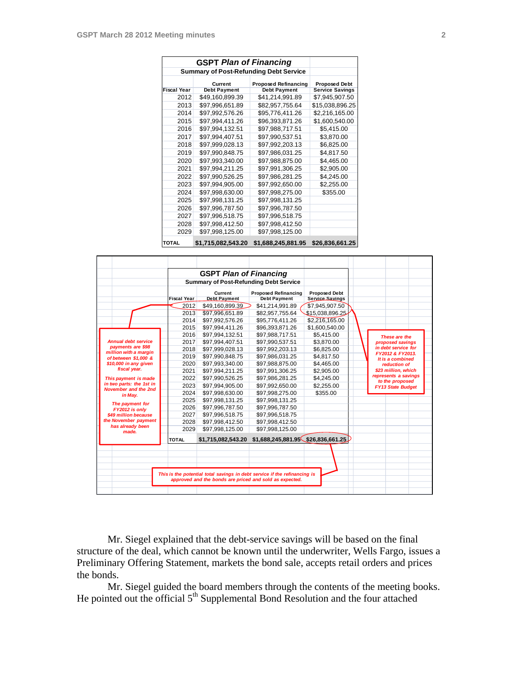|                    |                     | <b>Summary of Post-Refunding Debt Service</b> |                        |
|--------------------|---------------------|-----------------------------------------------|------------------------|
|                    | Current             | <b>Proposed Refinancing</b>                   | <b>Proposed Debt</b>   |
| <b>Fiscal Year</b> | <b>Debt Payment</b> | <b>Debt Payment</b>                           | <b>Service Savings</b> |
| 2012               | \$49,160,899.39     | \$41,214,991.89                               | \$7,945,907.50         |
| 2013               | \$97.996.651.89     | \$82,957,755.64                               | \$15,038,896.25        |
| 2014               | \$97,992,576.26     | \$95,776,411.26                               | \$2,216,165.00         |
| 2015               | \$97,994,411.26     | \$96,393,871.26                               | \$1,600,540.00         |
| 2016               | \$97,994,132.51     | \$97,988,717.51                               | \$5,415.00             |
| 2017               | \$97,994,407.51     | \$97,990,537.51                               | \$3,870.00             |
| 2018               | \$97,999,028.13     | \$97,992,203.13                               | \$6,825.00             |
| 2019               | \$97,990,848.75     | \$97,986,031.25                               | \$4,817.50             |
| 2020               | \$97,993,340.00     | \$97,988,875.00                               | \$4,465.00             |
| 2021               | \$97,994,211.25     | \$97,991,306.25                               | \$2,905.00             |
| 2022               | \$97,990,526.25     | \$97,986,281.25                               | \$4,245.00             |
| 2023               | \$97,994,905.00     | \$97,992,650.00                               | \$2,255.00             |
| 2024               | \$97,998,630.00     | \$97,998,275.00                               | \$355.00               |
| 2025               | \$97,998,131.25     | \$97,998,131.25                               |                        |
| 2026               | \$97,996,787.50     | \$97,996,787.50                               |                        |
| 2027               | \$97,996,518.75     | \$97,996,518.75                               |                        |
| 2028               | \$97,998,412.50     | \$97,998,412.50                               |                        |
| 2029               | \$97,998,125.00     | \$97,998,125.00                               |                        |
| <b>TOTAL</b>       | \$1,715,082,543.20  | \$1,688,245,881.95                            | \$26,836,661.25        |

|                                               |                    | <b>GSPT Plan of Financing</b>                 |                                                                           |                                                |                                             |  |
|-----------------------------------------------|--------------------|-----------------------------------------------|---------------------------------------------------------------------------|------------------------------------------------|---------------------------------------------|--|
|                                               |                    | <b>Summary of Post-Refunding Debt Service</b> |                                                                           |                                                |                                             |  |
|                                               | <b>Fiscal Year</b> | Current<br><b>Debt Payment</b>                | <b>Proposed Refinancing</b><br><b>Debt Payment</b>                        | <b>Proposed Debt</b><br><b>Service Savings</b> |                                             |  |
|                                               | 2012               | \$49,160,899.39                               | \$41,214,991.89                                                           | \$7,945,907.50                                 |                                             |  |
|                                               | 2013               | \$97,996,651.89                               | \$82,957,755.64                                                           | \$15,038,896.25                                |                                             |  |
|                                               | 2014               | \$97,992,576.26                               | \$95,776,411.26                                                           | \$2,216,165.00                                 |                                             |  |
|                                               | 2015               | \$97,994,411.26                               | \$96,393,871.26                                                           | \$1,600,540.00                                 |                                             |  |
|                                               | 2016               | \$97,994,132.51                               | \$97,988,717.51                                                           | \$5,415.00                                     |                                             |  |
| <b>Annual debt service</b>                    | 2017               | \$97,994,407.51                               | \$97,990,537.51                                                           | \$3,870.00                                     | These are the<br>proposed savings           |  |
| payments are \$98                             | 2018               | \$97,999,028.13                               | \$97,992,203.13                                                           | \$6,825.00                                     | in debt service for                         |  |
| million with a margin<br>of between \$1.000 & | 2019               | \$97,990,848.75                               | \$97,986,031.25                                                           | \$4,817.50                                     | FY2012 & FY2013.                            |  |
| \$10,000 in any given                         | 2020               | \$97,993,340.00                               | \$97,988,875.00                                                           | \$4,465.00                                     | It is a combined<br>reduction of            |  |
| fiscal year.                                  | 2021               | \$97,994,211.25                               | \$97,991,306.25                                                           | \$2,905.00                                     | \$23 million, which                         |  |
| This payment is made                          | 2022               | \$97,990,526.25                               | \$97,986,281.25                                                           | \$4,245.00                                     | represents a savings                        |  |
| in two parts: the 1st in                      | 2023               | \$97,994,905.00                               | \$97,992,650.00                                                           | \$2,255.00                                     | to the proposed<br><b>FY13 State Budget</b> |  |
| November and the 2nd                          | 2024               | \$97,998,630.00                               | \$97,998,275.00                                                           | \$355.00                                       |                                             |  |
| in May.                                       | 2025               | \$97,998,131.25                               | \$97,998,131.25                                                           |                                                |                                             |  |
| The payment for                               | 2026               | \$97,996,787.50                               | \$97,996,787.50                                                           |                                                |                                             |  |
| FY2012 is only<br>\$49 million because        | 2027               | \$97,996,518.75                               | \$97,996,518.75                                                           |                                                |                                             |  |
| the November payment                          | 2028               | \$97,998,412.50                               | \$97,998,412.50                                                           |                                                |                                             |  |
| has already been<br>made.                     | 2029               | \$97,998,125.00                               | \$97,998,125.00                                                           |                                                |                                             |  |
|                                               | <b>TOTAL</b>       | \$1,715,082,543.20                            | $$1,688,245,881.95$ \$26,836,661.25                                       |                                                |                                             |  |
|                                               |                    |                                               |                                                                           |                                                |                                             |  |
|                                               |                    |                                               |                                                                           |                                                |                                             |  |
|                                               |                    |                                               |                                                                           |                                                |                                             |  |
|                                               |                    |                                               | This is the potential total savings in debt service if the refinancing is |                                                |                                             |  |

 Mr. Siegel explained that the debt-service savings will be based on the final structure of the deal, which cannot be known until the underwriter, Wells Fargo, issues a Preliminary Offering Statement, markets the bond sale, accepts retail orders and prices the bonds.

 Mr. Siegel guided the board members through the contents of the meeting books. He pointed out the official 5<sup>th</sup> Supplemental Bond Resolution and the four attached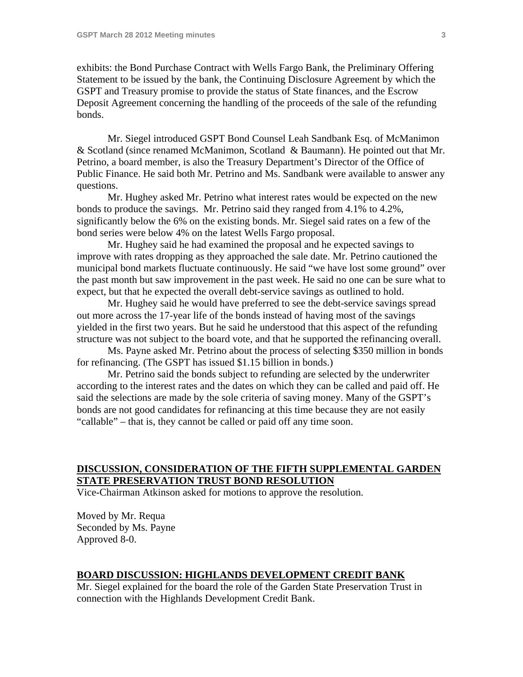exhibits: the Bond Purchase Contract with Wells Fargo Bank, the Preliminary Offering Statement to be issued by the bank, the Continuing Disclosure Agreement by which the GSPT and Treasury promise to provide the status of State finances, and the Escrow Deposit Agreement concerning the handling of the proceeds of the sale of the refunding bonds.

 Mr. Siegel introduced GSPT Bond Counsel Leah Sandbank Esq. of McManimon & Scotland (since renamed McManimon, Scotland & Baumann). He pointed out that Mr. Petrino, a board member, is also the Treasury Department's Director of the Office of Public Finance. He said both Mr. Petrino and Ms. Sandbank were available to answer any questions.

 Mr. Hughey asked Mr. Petrino what interest rates would be expected on the new bonds to produce the savings. Mr. Petrino said they ranged from 4.1% to 4.2%, significantly below the 6% on the existing bonds. Mr. Siegel said rates on a few of the bond series were below 4% on the latest Wells Fargo proposal.

 Mr. Hughey said he had examined the proposal and he expected savings to improve with rates dropping as they approached the sale date. Mr. Petrino cautioned the municipal bond markets fluctuate continuously. He said "we have lost some ground" over the past month but saw improvement in the past week. He said no one can be sure what to expect, but that he expected the overall debt-service savings as outlined to hold.

 Mr. Hughey said he would have preferred to see the debt-service savings spread out more across the 17-year life of the bonds instead of having most of the savings yielded in the first two years. But he said he understood that this aspect of the refunding structure was not subject to the board vote, and that he supported the refinancing overall.

 Ms. Payne asked Mr. Petrino about the process of selecting \$350 million in bonds for refinancing. (The GSPT has issued \$1.15 billion in bonds.)

 Mr. Petrino said the bonds subject to refunding are selected by the underwriter according to the interest rates and the dates on which they can be called and paid off. He said the selections are made by the sole criteria of saving money. Many of the GSPT's bonds are not good candidates for refinancing at this time because they are not easily "callable" – that is, they cannot be called or paid off any time soon.

# **DISCUSSION, CONSIDERATION OF THE FIFTH SUPPLEMENTAL GARDEN STATE PRESERVATION TRUST BOND RESOLUTION**

Vice-Chairman Atkinson asked for motions to approve the resolution.

Moved by Mr. Requa Seconded by Ms. Payne Approved 8-0.

# **BOARD DISCUSSION: HIGHLANDS DEVELOPMENT CREDIT BANK**

Mr. Siegel explained for the board the role of the Garden State Preservation Trust in connection with the Highlands Development Credit Bank.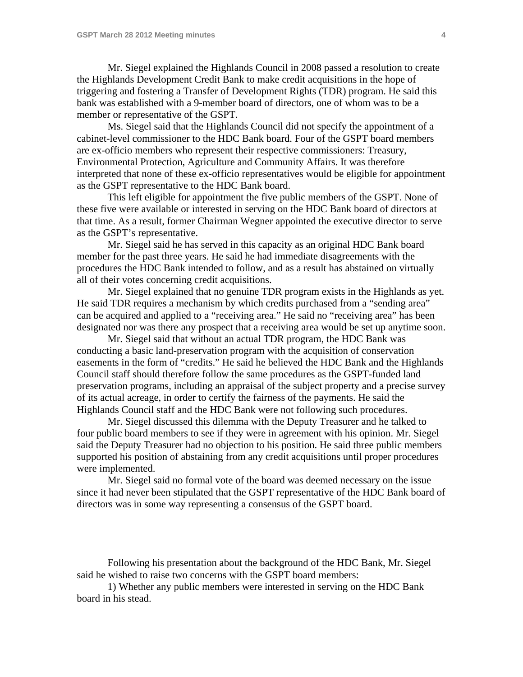Mr. Siegel explained the Highlands Council in 2008 passed a resolution to create the Highlands Development Credit Bank to make credit acquisitions in the hope of triggering and fostering a Transfer of Development Rights (TDR) program. He said this bank was established with a 9-member board of directors, one of whom was to be a member or representative of the GSPT.

 Ms. Siegel said that the Highlands Council did not specify the appointment of a cabinet-level commissioner to the HDC Bank board. Four of the GSPT board members are ex-officio members who represent their respective commissioners: Treasury, Environmental Protection, Agriculture and Community Affairs. It was therefore interpreted that none of these ex-officio representatives would be eligible for appointment as the GSPT representative to the HDC Bank board.

 This left eligible for appointment the five public members of the GSPT. None of these five were available or interested in serving on the HDC Bank board of directors at that time. As a result, former Chairman Wegner appointed the executive director to serve as the GSPT's representative.

 Mr. Siegel said he has served in this capacity as an original HDC Bank board member for the past three years. He said he had immediate disagreements with the procedures the HDC Bank intended to follow, and as a result has abstained on virtually all of their votes concerning credit acquisitions.

 Mr. Siegel explained that no genuine TDR program exists in the Highlands as yet. He said TDR requires a mechanism by which credits purchased from a "sending area" can be acquired and applied to a "receiving area." He said no "receiving area" has been designated nor was there any prospect that a receiving area would be set up anytime soon.

 Mr. Siegel said that without an actual TDR program, the HDC Bank was conducting a basic land-preservation program with the acquisition of conservation easements in the form of "credits." He said he believed the HDC Bank and the Highlands Council staff should therefore follow the same procedures as the GSPT-funded land preservation programs, including an appraisal of the subject property and a precise survey of its actual acreage, in order to certify the fairness of the payments. He said the Highlands Council staff and the HDC Bank were not following such procedures.

 Mr. Siegel discussed this dilemma with the Deputy Treasurer and he talked to four public board members to see if they were in agreement with his opinion. Mr. Siegel said the Deputy Treasurer had no objection to his position. He said three public members supported his position of abstaining from any credit acquisitions until proper procedures were implemented.

 Mr. Siegel said no formal vote of the board was deemed necessary on the issue since it had never been stipulated that the GSPT representative of the HDC Bank board of directors was in some way representing a consensus of the GSPT board.

 Following his presentation about the background of the HDC Bank, Mr. Siegel said he wished to raise two concerns with the GSPT board members:

 1) Whether any public members were interested in serving on the HDC Bank board in his stead.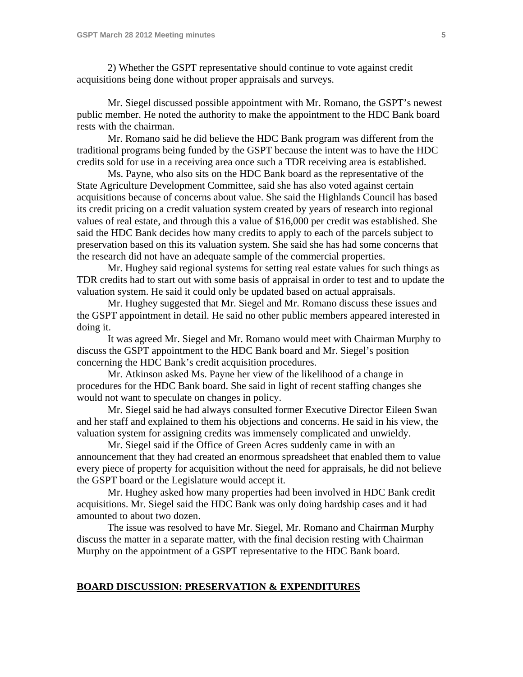2) Whether the GSPT representative should continue to vote against credit acquisitions being done without proper appraisals and surveys.

 Mr. Siegel discussed possible appointment with Mr. Romano, the GSPT's newest public member. He noted the authority to make the appointment to the HDC Bank board rests with the chairman.

 Mr. Romano said he did believe the HDC Bank program was different from the traditional programs being funded by the GSPT because the intent was to have the HDC credits sold for use in a receiving area once such a TDR receiving area is established.

 Ms. Payne, who also sits on the HDC Bank board as the representative of the State Agriculture Development Committee, said she has also voted against certain acquisitions because of concerns about value. She said the Highlands Council has based its credit pricing on a credit valuation system created by years of research into regional values of real estate, and through this a value of \$16,000 per credit was established. She said the HDC Bank decides how many credits to apply to each of the parcels subject to preservation based on this its valuation system. She said she has had some concerns that the research did not have an adequate sample of the commercial properties.

 Mr. Hughey said regional systems for setting real estate values for such things as TDR credits had to start out with some basis of appraisal in order to test and to update the valuation system. He said it could only be updated based on actual appraisals.

 Mr. Hughey suggested that Mr. Siegel and Mr. Romano discuss these issues and the GSPT appointment in detail. He said no other public members appeared interested in doing it.

 It was agreed Mr. Siegel and Mr. Romano would meet with Chairman Murphy to discuss the GSPT appointment to the HDC Bank board and Mr. Siegel's position concerning the HDC Bank's credit acquisition procedures.

 Mr. Atkinson asked Ms. Payne her view of the likelihood of a change in procedures for the HDC Bank board. She said in light of recent staffing changes she would not want to speculate on changes in policy.

 Mr. Siegel said he had always consulted former Executive Director Eileen Swan and her staff and explained to them his objections and concerns. He said in his view, the valuation system for assigning credits was immensely complicated and unwieldy.

 Mr. Siegel said if the Office of Green Acres suddenly came in with an announcement that they had created an enormous spreadsheet that enabled them to value every piece of property for acquisition without the need for appraisals, he did not believe the GSPT board or the Legislature would accept it.

 Mr. Hughey asked how many properties had been involved in HDC Bank credit acquisitions. Mr. Siegel said the HDC Bank was only doing hardship cases and it had amounted to about two dozen.

 The issue was resolved to have Mr. Siegel, Mr. Romano and Chairman Murphy discuss the matter in a separate matter, with the final decision resting with Chairman Murphy on the appointment of a GSPT representative to the HDC Bank board.

#### **BOARD DISCUSSION: PRESERVATION & EXPENDITURES**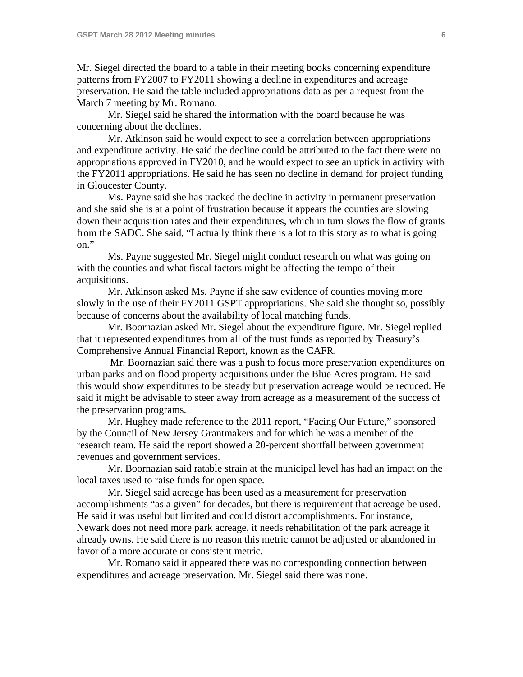Mr. Siegel directed the board to a table in their meeting books concerning expenditure patterns from FY2007 to FY2011 showing a decline in expenditures and acreage preservation. He said the table included appropriations data as per a request from the March 7 meeting by Mr. Romano.

 Mr. Siegel said he shared the information with the board because he was concerning about the declines.

 Mr. Atkinson said he would expect to see a correlation between appropriations and expenditure activity. He said the decline could be attributed to the fact there were no appropriations approved in FY2010, and he would expect to see an uptick in activity with the FY2011 appropriations. He said he has seen no decline in demand for project funding in Gloucester County.

 Ms. Payne said she has tracked the decline in activity in permanent preservation and she said she is at a point of frustration because it appears the counties are slowing down their acquisition rates and their expenditures, which in turn slows the flow of grants from the SADC. She said, "I actually think there is a lot to this story as to what is going on."

 Ms. Payne suggested Mr. Siegel might conduct research on what was going on with the counties and what fiscal factors might be affecting the tempo of their acquisitions.

 Mr. Atkinson asked Ms. Payne if she saw evidence of counties moving more slowly in the use of their FY2011 GSPT appropriations. She said she thought so, possibly because of concerns about the availability of local matching funds.

 Mr. Boornazian asked Mr. Siegel about the expenditure figure. Mr. Siegel replied that it represented expenditures from all of the trust funds as reported by Treasury's Comprehensive Annual Financial Report, known as the CAFR.

 Mr. Boornazian said there was a push to focus more preservation expenditures on urban parks and on flood property acquisitions under the Blue Acres program. He said this would show expenditures to be steady but preservation acreage would be reduced. He said it might be advisable to steer away from acreage as a measurement of the success of the preservation programs.

 Mr. Hughey made reference to the 2011 report, "Facing Our Future," sponsored by the Council of New Jersey Grantmakers and for which he was a member of the research team. He said the report showed a 20-percent shortfall between government revenues and government services.

 Mr. Boornazian said ratable strain at the municipal level has had an impact on the local taxes used to raise funds for open space.

 Mr. Siegel said acreage has been used as a measurement for preservation accomplishments "as a given" for decades, but there is requirement that acreage be used. He said it was useful but limited and could distort accomplishments. For instance, Newark does not need more park acreage, it needs rehabilitation of the park acreage it already owns. He said there is no reason this metric cannot be adjusted or abandoned in favor of a more accurate or consistent metric.

 Mr. Romano said it appeared there was no corresponding connection between expenditures and acreage preservation. Mr. Siegel said there was none.